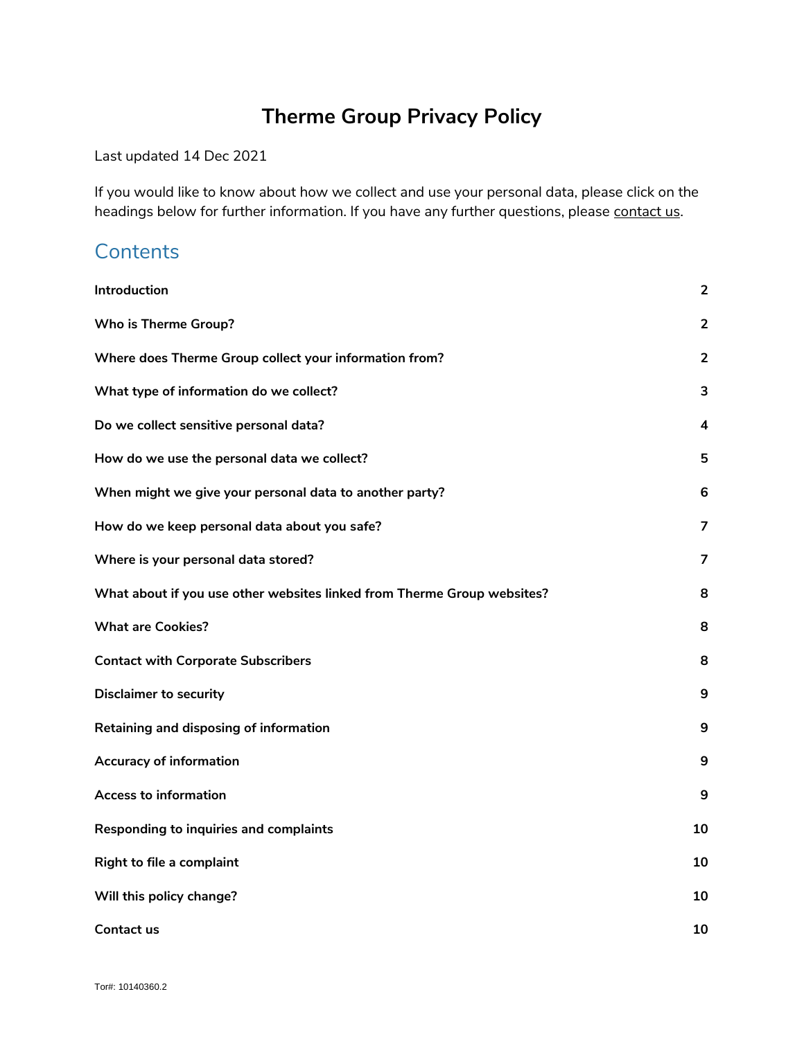# **Therme Group Privacy Policy**

Last updated 14 Dec 2021

If you would like to know about how we collect and use your personal data, please click on the headings below for further information. If you have any further questions, please [contact us.](#page-9-0)

### **Contents**

| Introduction                                                            | $\overline{2}$ |
|-------------------------------------------------------------------------|----------------|
| <b>Who is Therme Group?</b>                                             | $\overline{2}$ |
| Where does Therme Group collect your information from?                  | $\overline{2}$ |
| What type of information do we collect?                                 | 3              |
| Do we collect sensitive personal data?                                  | 4              |
| How do we use the personal data we collect?                             | 5              |
| When might we give your personal data to another party?                 | 6              |
| How do we keep personal data about you safe?                            | $\overline{7}$ |
| Where is your personal data stored?                                     | $\overline{7}$ |
| What about if you use other websites linked from Therme Group websites? | 8              |
| <b>What are Cookies?</b>                                                | 8              |
| <b>Contact with Corporate Subscribers</b>                               | 8              |
| <b>Disclaimer to security</b>                                           | 9              |
| Retaining and disposing of information                                  | 9              |
| <b>Accuracy of information</b>                                          | 9              |
| <b>Access to information</b>                                            | 9              |
| Responding to inquiries and complaints                                  | 10             |
| Right to file a complaint                                               | 10             |
| Will this policy change?                                                | 10             |
| <b>Contact us</b>                                                       | 10             |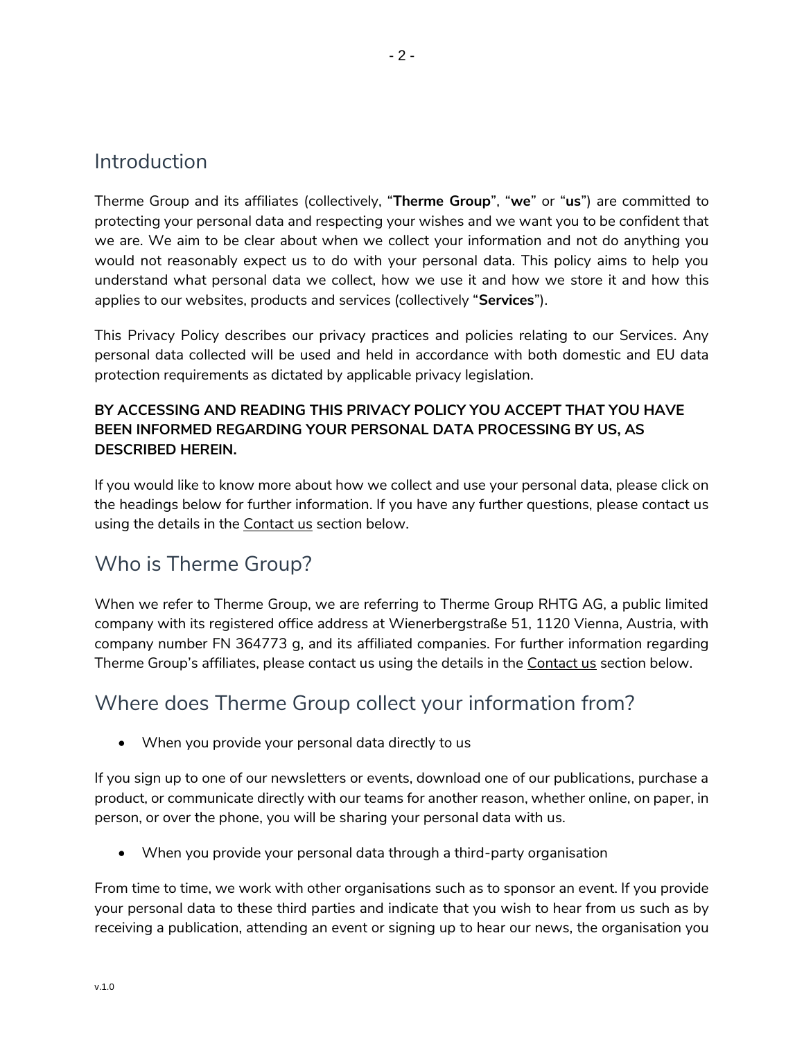#### <span id="page-1-0"></span>Introduction

Therme Group and its affiliates (collectively, "**Therme Group**", "**we**" or "**us**") are committed to protecting your personal data and respecting your wishes and we want you to be confident that we are. We aim to be clear about when we collect your information and not do anything you would not reasonably expect us to do with your personal data. This policy aims to help you understand what personal data we collect, how we use it and how we store it and how this applies to our websites, products and services (collectively "**Services**").

This Privacy Policy describes our privacy practices and policies relating to our Services. Any personal data collected will be used and held in accordance with both domestic and EU data protection requirements as dictated by applicable privacy legislation.

#### **BY ACCESSING AND READING THIS PRIVACY POLICY YOU ACCEPT THAT YOU HAVE BEEN INFORMED REGARDING YOUR PERSONAL DATA PROCESSING BY US, AS DESCRIBED HEREIN.**

If you would like to know more about how we collect and use your personal data, please click on the headings below for further information. If you have any further questions, please contact us using the details in the [Contact](#page-9-0) us section below.

# <span id="page-1-1"></span>Who is Therme Group?

When we refer to Therme Group, we are referring to Therme Group RHTG AG, a public limited company with its registered office address at Wienerbergstraße 51, 1120 Vienna, Austria, with company number FN 364773 g, and its affiliated companies. For further information regarding Therme Group's affiliates, please contact us using the details in the [Contact us](#page-9-0) section below.

# <span id="page-1-2"></span>Where does Therme Group collect your information from?

• When you provide your personal data directly to us

If you sign up to one of our newsletters or events, download one of our publications, purchase a product, or communicate directly with our teams for another reason, whether online, on paper, in person, or over the phone, you will be sharing your personal data with us.

• When you provide your personal data through a third-party organisation

From time to time, we work with other organisations such as to sponsor an event. If you provide your personal data to these third parties and indicate that you wish to hear from us such as by receiving a publication, attending an event or signing up to hear our news, the organisation you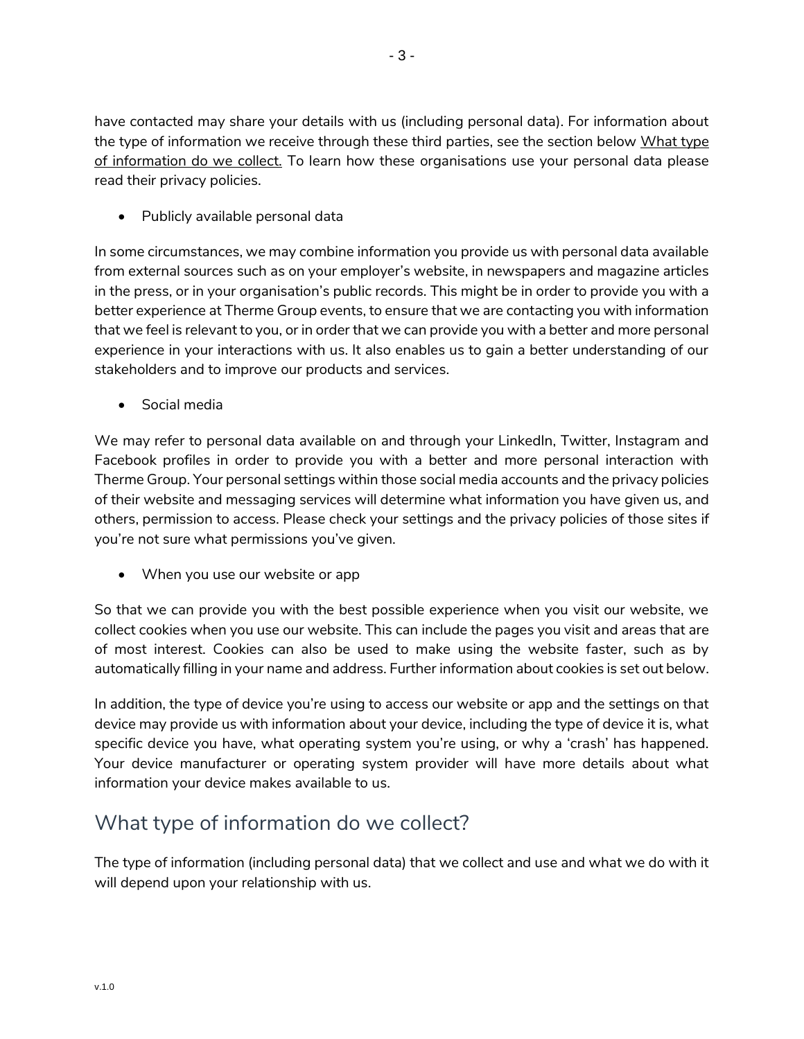have contacted may share your details with us (including personal data). For information about the type of information we receive through these third parties, see the section below [What type](#page-2-0) [of information do we collect.](#page-2-0) To learn how these organisations use your personal data please read their privacy policies.

• Publicly available personal data

In some circumstances, we may combine information you provide us with personal data available from external sources such as on your employer's website, in newspapers and magazine articles in the press, or in your organisation's public records. This might be in order to provide you with a better experience at Therme Group events, to ensure that we are contacting you with information that we feel is relevant to you, or in order that we can provide you with a better and more personal experience in your interactions with us. It also enables us to gain a better understanding of our stakeholders and to improve our products and services.

• Social media

We may refer to personal data available on and through your LinkedIn, Twitter, Instagram and Facebook profiles in order to provide you with a better and more personal interaction with Therme Group. Your personal settings within those social media accounts and the privacy policies of their website and messaging services will determine what information you have given us, and others, permission to access. Please check your settings and the privacy policies of those sites if you're not sure what permissions you've given.

• When you use our website or app

So that we can provide you with the best possible experience when you visit our website, we collect cookies when you use our website. This can include the pages you visit and areas that are of most interest. Cookies can also be used to make using the website faster, such as by automatically filling in your name and address. Further information about cookies is set out below.

In addition, the type of device you're using to access our website or app and the settings on that device may provide us with information about your device, including the type of device it is, what specific device you have, what operating system you're using, or why a 'crash' has happened. Your device manufacturer or operating system provider will have more details about what information your device makes available to us.

# <span id="page-2-0"></span>What type of information do we collect?

The type of information (including personal data) that we collect and use and what we do with it will depend upon your relationship with us.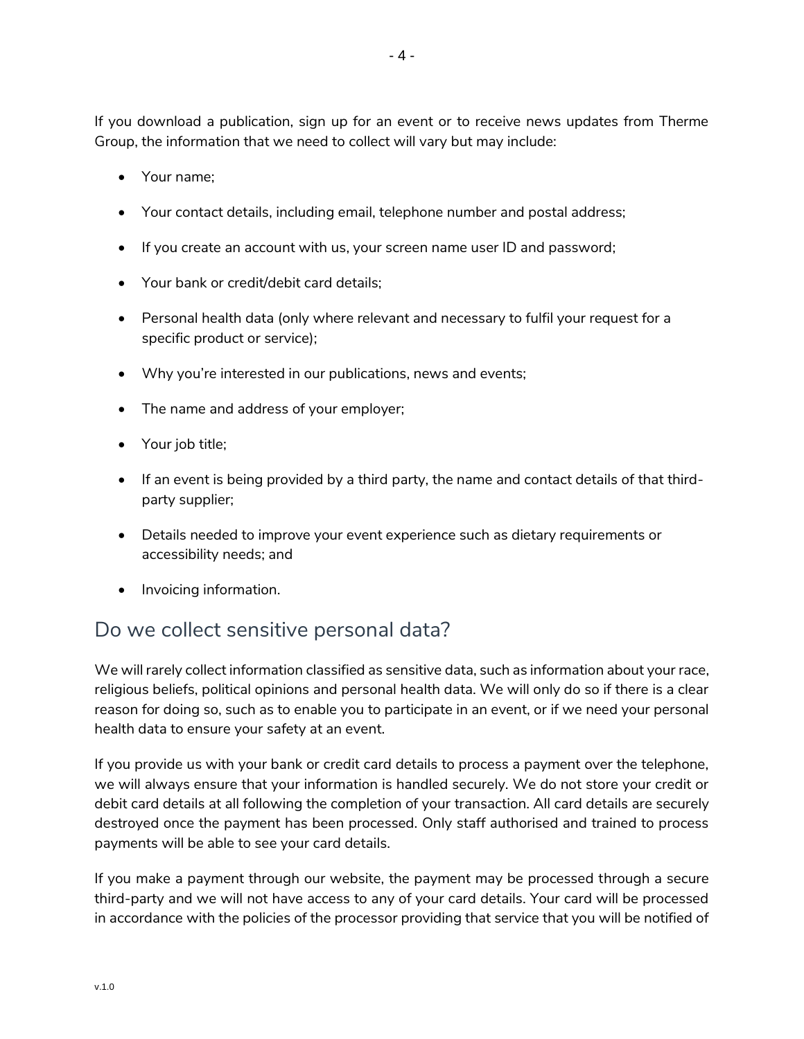If you download a publication, sign up for an event or to receive news updates from Therme Group, the information that we need to collect will vary but may include:

- Your name;
- Your contact details, including email, telephone number and postal address;
- If you create an account with us, your screen name user ID and password;
- Your bank or credit/debit card details;
- Personal health data (only where relevant and necessary to fulfil your request for a specific product or service);
- Why you're interested in our publications, news and events;
- The name and address of your employer;
- Your job title;
- If an event is being provided by a third party, the name and contact details of that thirdparty supplier;
- Details needed to improve your event experience such as dietary requirements or accessibility needs; and
- Invoicing information.

### <span id="page-3-0"></span>Do we collect sensitive personal data?

We will rarely collect information classified as sensitive data, such as information about your race, religious beliefs, political opinions and personal health data. We will only do so if there is a clear reason for doing so, such as to enable you to participate in an event, or if we need your personal health data to ensure your safety at an event.

If you provide us with your bank or credit card details to process a payment over the telephone, we will always ensure that your information is handled securely. We do not store your credit or debit card details at all following the completion of your transaction. All card details are securely destroyed once the payment has been processed. Only staff authorised and trained to process payments will be able to see your card details.

If you make a payment through our website, the payment may be processed through a secure third-party and we will not have access to any of your card details. Your card will be processed in accordance with the policies of the processor providing that service that you will be notified of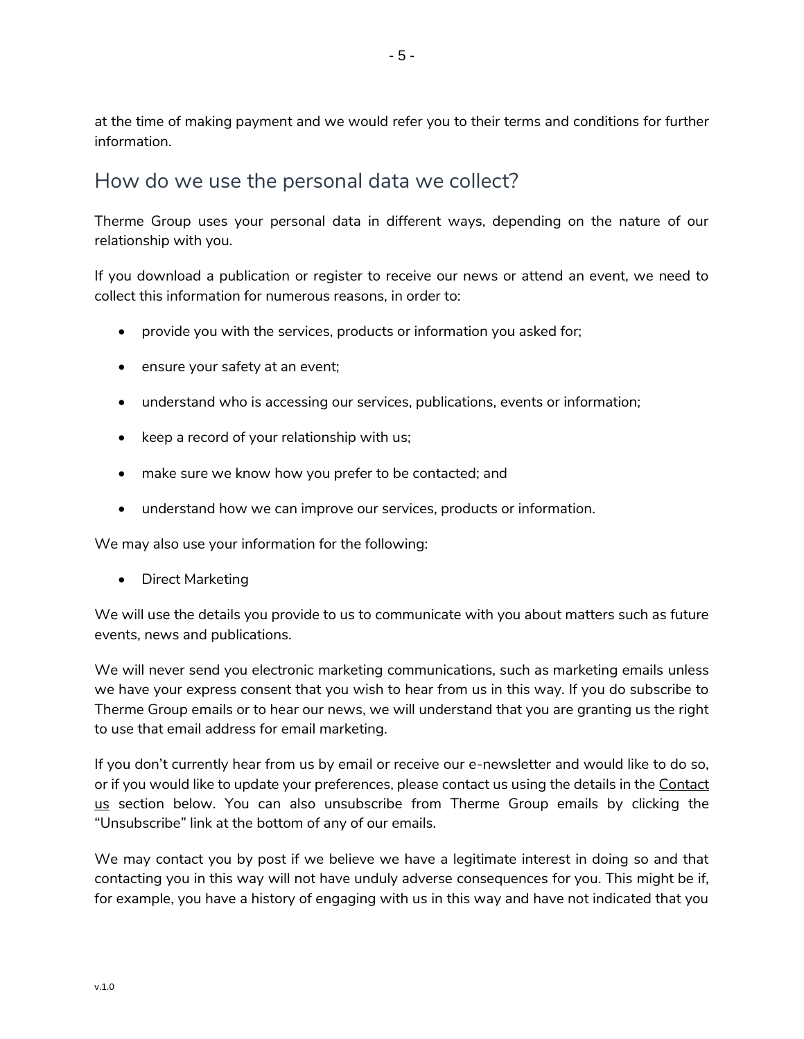at the time of making payment and we would refer you to their terms and conditions for further information.

### <span id="page-4-0"></span>How do we use the personal data we collect?

Therme Group uses your personal data in different ways, depending on the nature of our relationship with you.

If you download a publication or register to receive our news or attend an event, we need to collect this information for numerous reasons, in order to:

- provide you with the services, products or information you asked for;
- ensure your safety at an event;
- understand who is accessing our services, publications, events or information;
- keep a record of your relationship with us;
- make sure we know how you prefer to be contacted; and
- understand how we can improve our services, products or information.

We may also use your information for the following:

• Direct Marketing

We will use the details you provide to us to communicate with you about matters such as future events, news and publications.

We will never send you electronic marketing communications, such as marketing emails unless we have your express consent that you wish to hear from us in this way. If you do subscribe to Therme Group emails or to hear our news, we will understand that you are granting us the right to use that email address for email marketing.

If you don't currently hear from us by email or receive our e-newsletter and would like to do so, or if you would like to update your preferences, please contact us using the details in the Contact [us](#page-9-0) section below. You can also unsubscribe from Therme Group emails by clicking the "Unsubscribe" link at the bottom of any of our emails.

We may contact you by post if we believe we have a legitimate interest in doing so and that contacting you in this way will not have unduly adverse consequences for you. This might be if, for example, you have a history of engaging with us in this way and have not indicated that you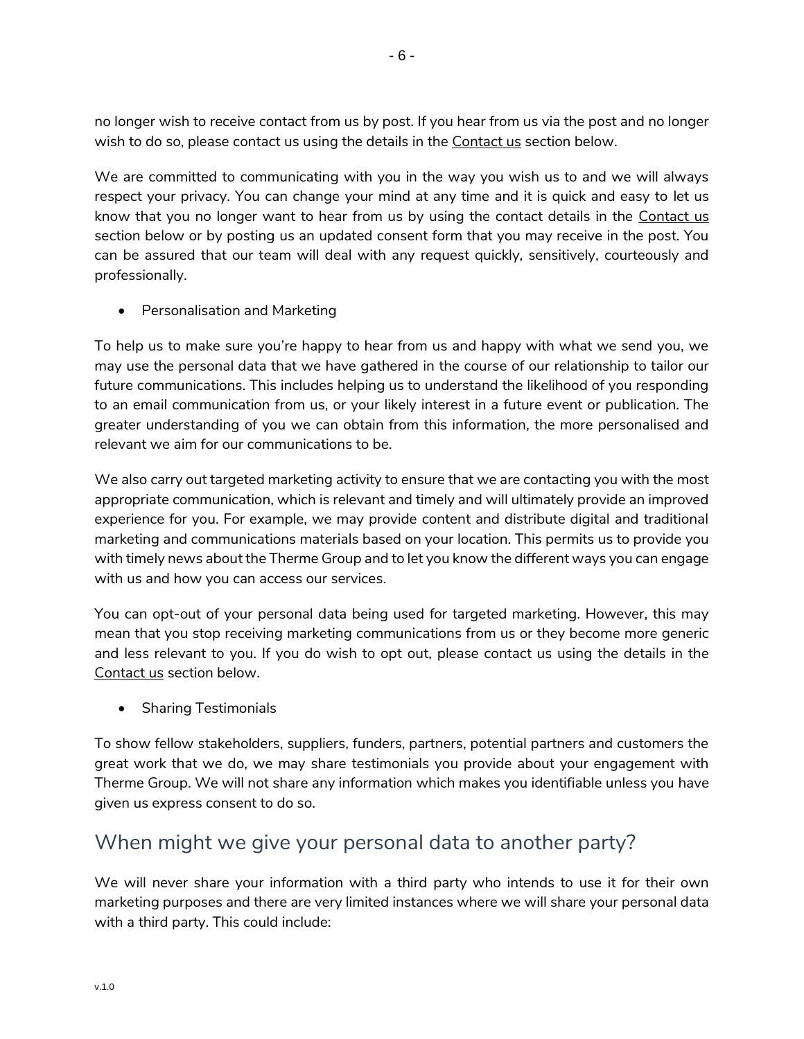no longer wish to receive contact from us by post. If you hear from us via the post and no longer wish to do so, please contact us using the details in the [Contact us](#page-9-0) section below.

We are committed to communicating with you in the way you wish us to and we will always respect your privacy. You can change your mind at any time and it is quick and easy to let us know that you no longer want to hear from us by using the contact details in the [Contact us](#page-9-0) section below or by posting us an updated consent form that you may receive in the post. You can be assured that our team will deal with any request quickly, sensitively, courteously and professionally.

• Personalisation and Marketing

To help us to make sure you're happy to hear from us and happy with what we send you, we may use the personal data that we have gathered in the course of our relationship to tailor our future communications. This includes helping us to understand the likelihood of you responding to an email communication from us, or your likely interest in a future event or publication. The greater understanding of you we can obtain from this information, the more personalised and relevant we aim for our communications to be.

We also carry out targeted marketing activity to ensure that we are contacting you with the most appropriate communication, which is relevant and timely and will ultimately provide an improved experience for you. For example, we may provide content and distribute digital and traditional marketing and communications materials based on your location. This permits us to provide you with timely news about the Therme Group and to let you know the different ways you can engage with us and how you can access our services.

You can opt-out of your personal data being used for targeted marketing. However, this may mean that you stop receiving marketing communications from us or they become more generic and less relevant to you. If you do wish to opt out, please contact us using the details in the [Contact us](#page-9-0) section below.

• Sharing Testimonials

To show fellow stakeholders, suppliers, funders, partners, potential partners and customers the great work that we do, we may share testimonials you provide about your engagement with Therme Group. We will not share any information which makes you identifiable unless you have given us express consent to do so.

### <span id="page-5-0"></span>When might we give your personal data to another party?

We will never share your information with a third party who intends to use it for their own marketing purposes and there are very limited instances where we will share your personal data with a third party. This could include: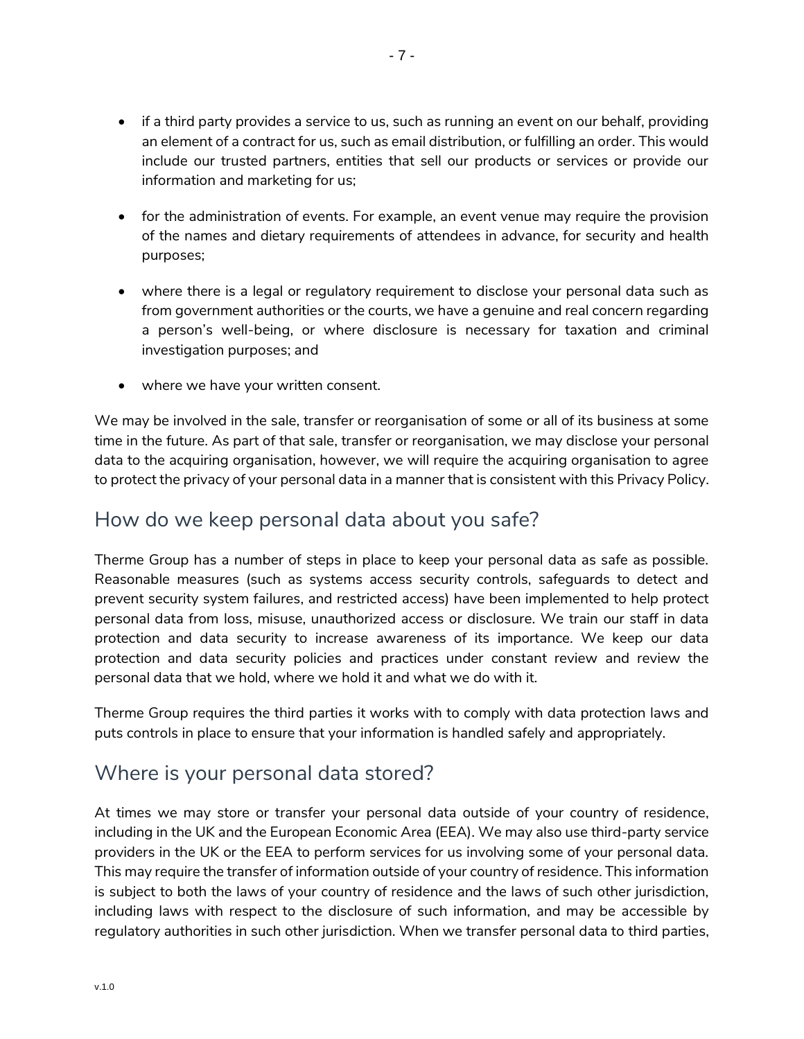- if a third party provides a service to us, such as running an event on our behalf, providing an element of a contract for us, such as email distribution, or fulfilling an order. This would include our trusted partners, entities that sell our products or services or provide our information and marketing for us;
- for the administration of events. For example, an event venue may require the provision of the names and dietary requirements of attendees in advance, for security and health purposes;
- where there is a legal or regulatory requirement to disclose your personal data such as from government authorities or the courts, we have a genuine and real concern regarding a person's well-being, or where disclosure is necessary for taxation and criminal investigation purposes; and
- where we have your written consent.

We may be involved in the sale, transfer or reorganisation of some or all of its business at some time in the future. As part of that sale, transfer or reorganisation, we may disclose your personal data to the acquiring organisation, however, we will require the acquiring organisation to agree to protect the privacy of your personal data in a manner that is consistent with this Privacy Policy.

### <span id="page-6-0"></span>How do we keep personal data about you safe?

Therme Group has a number of steps in place to keep your personal data as safe as possible. Reasonable measures (such as systems access security controls, safeguards to detect and prevent security system failures, and restricted access) have been implemented to help protect personal data from loss, misuse, unauthorized access or disclosure. We train our staff in data protection and data security to increase awareness of its importance. We keep our data protection and data security policies and practices under constant review and review the personal data that we hold, where we hold it and what we do with it.

Therme Group requires the third parties it works with to comply with data protection laws and puts controls in place to ensure that your information is handled safely and appropriately.

### <span id="page-6-1"></span>Where is your personal data stored?

At times we may store or transfer your personal data outside of your country of residence, including in the UK and the European Economic Area (EEA). We may also use third-party service providers in the UK or the EEA to perform services for us involving some of your personal data. This may require the transfer of information outside of your country of residence. This information is subject to both the laws of your country of residence and the laws of such other jurisdiction, including laws with respect to the disclosure of such information, and may be accessible by regulatory authorities in such other jurisdiction. When we transfer personal data to third parties,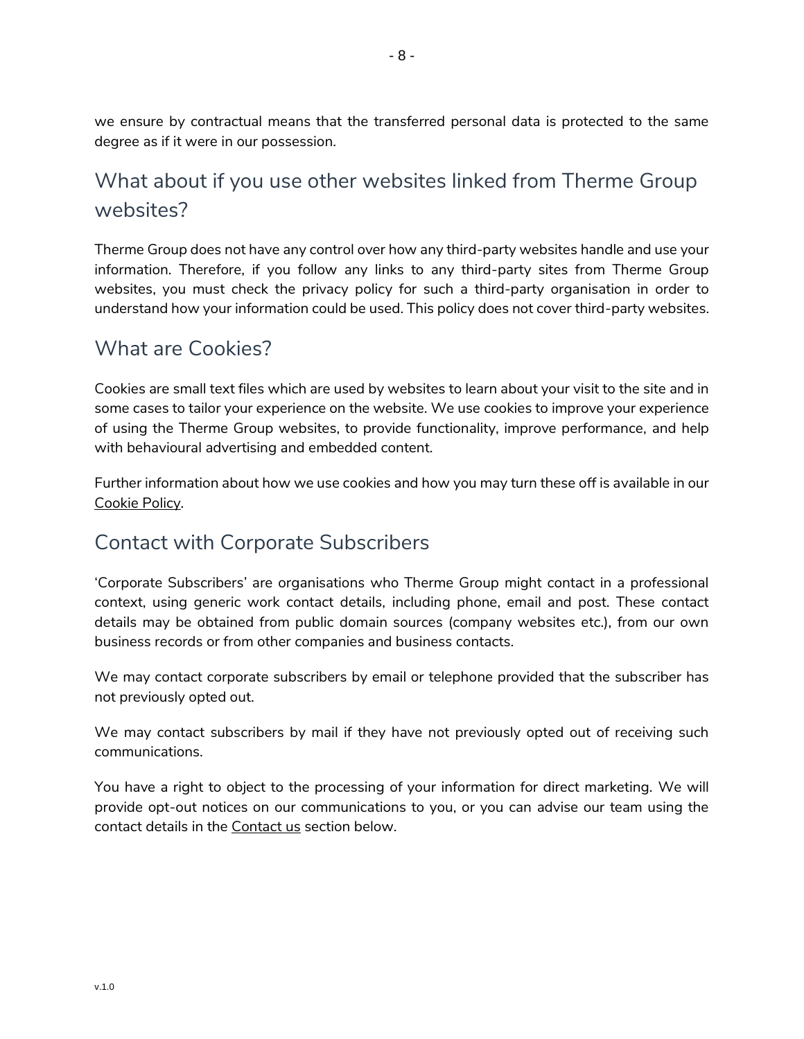we ensure by contractual means that the transferred personal data is protected to the same degree as if it were in our possession.

# <span id="page-7-0"></span>What about if you use other websites linked from Therme Group websites?

Therme Group does not have any control over how any third-party websites handle and use your information. Therefore, if you follow any links to any third-party sites from Therme Group websites, you must check the privacy policy for such a third-party organisation in order to understand how your information could be used. This policy does not cover third-party websites.

### <span id="page-7-1"></span>What are Cookies?

Cookies are small text files which are used by websites to learn about your visit to the site and in some cases to tailor your experience on the website. We use cookies to improve your experience of using the Therme Group websites, to provide functionality, improve performance, and help with behavioural advertising and embedded content.

Further information about how we use cookies and how you may turn these off is available in our [Cookie Policy.](https://www.thermegroup.com/cookies/)

### <span id="page-7-2"></span>Contact with Corporate Subscribers

'Corporate Subscribers' are organisations who Therme Group might contact in a professional context, using generic work contact details, including phone, email and post. These contact details may be obtained from public domain sources (company websites etc.), from our own business records or from other companies and business contacts.

We may contact corporate subscribers by email or telephone provided that the subscriber has not previously opted out.

We may contact subscribers by mail if they have not previously opted out of receiving such communications.

You have a right to object to the processing of your information for direct marketing. We will provide opt-out notices on our communications to you, or you can advise our team using the contact details in the [Contact us](#page-9-0) section below.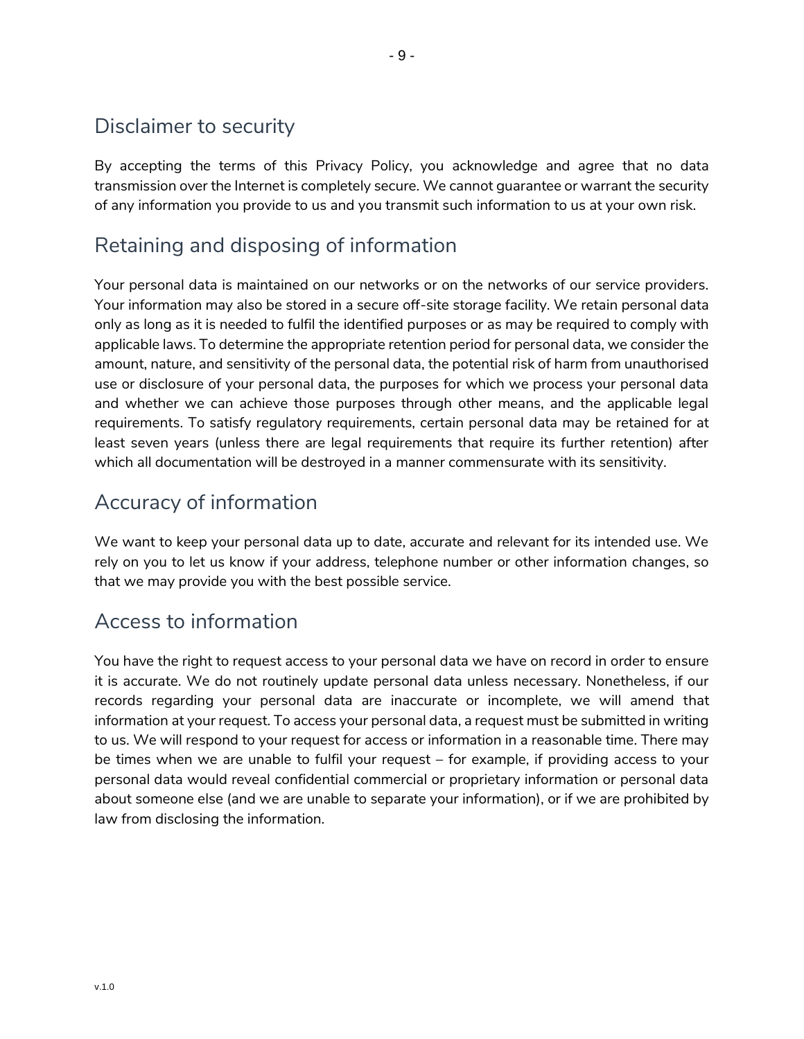## <span id="page-8-0"></span>Disclaimer to security

By accepting the terms of this Privacy Policy, you acknowledge and agree that no data transmission over the Internet is completely secure. We cannot guarantee or warrant the security of any information you provide to us and you transmit such information to us at your own risk.

## <span id="page-8-1"></span>Retaining and disposing of information

Your personal data is maintained on our networks or on the networks of our service providers. Your information may also be stored in a secure off-site storage facility. We retain personal data only as long as it is needed to fulfil the identified purposes or as may be required to comply with applicable laws. To determine the appropriate retention period for personal data, we consider the amount, nature, and sensitivity of the personal data, the potential risk of harm from unauthorised use or disclosure of your personal data, the purposes for which we process your personal data and whether we can achieve those purposes through other means, and the applicable legal requirements. To satisfy regulatory requirements, certain personal data may be retained for at least seven years (unless there are legal requirements that require its further retention) after which all documentation will be destroyed in a manner commensurate with its sensitivity.

### <span id="page-8-2"></span>Accuracy of information

We want to keep your personal data up to date, accurate and relevant for its intended use. We rely on you to let us know if your address, telephone number or other information changes, so that we may provide you with the best possible service.

### <span id="page-8-3"></span>Access to information

You have the right to request access to your personal data we have on record in order to ensure it is accurate. We do not routinely update personal data unless necessary. Nonetheless, if our records regarding your personal data are inaccurate or incomplete, we will amend that information at your request. To access your personal data, a request must be submitted in writing to us. We will respond to your request for access or information in a reasonable time. There may be times when we are unable to fulfil your request – for example, if providing access to your personal data would reveal confidential commercial or proprietary information or personal data about someone else (and we are unable to separate your information), or if we are prohibited by law from disclosing the information.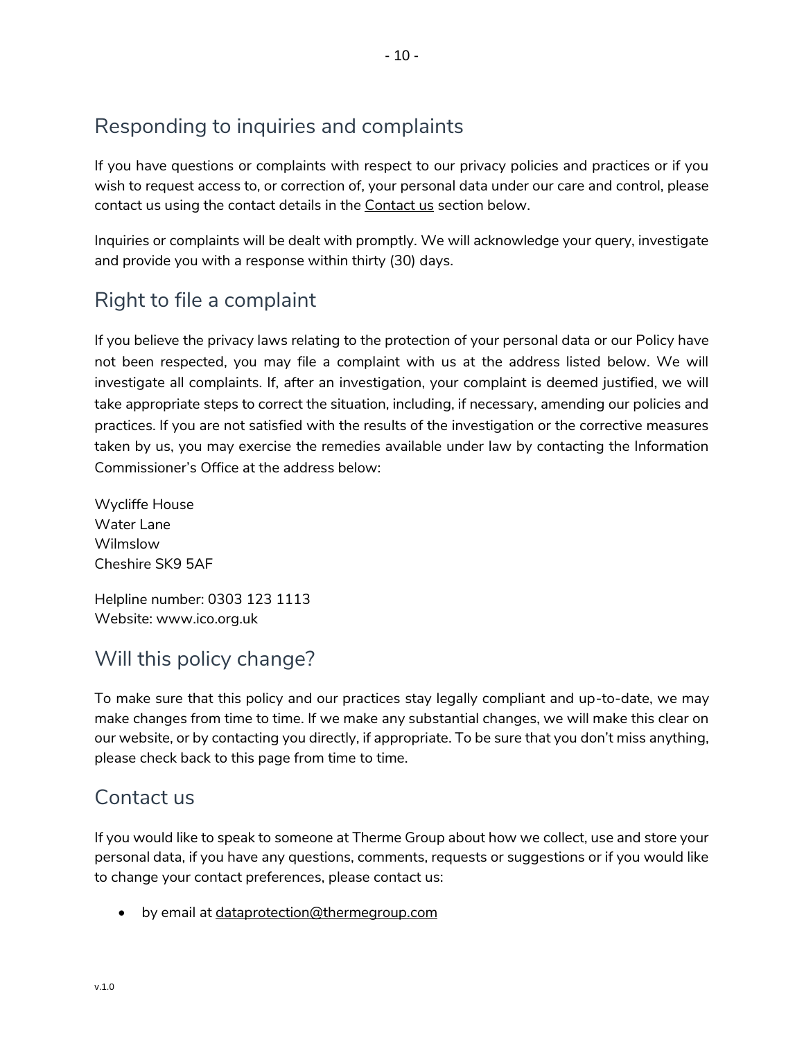# <span id="page-9-1"></span>Responding to inquiries and complaints

If you have questions or complaints with respect to our privacy policies and practices or if you wish to request access to, or correction of, your personal data under our care and control, please contact us using the contact details in the Contact us section below.

Inquiries or complaints will be dealt with promptly. We will acknowledge your query, investigate and provide you with a response within thirty (30) days.

# <span id="page-9-2"></span>Right to file a complaint

If you believe the privacy laws relating to the protection of your personal data or our Policy have not been respected, you may file a complaint with us at the address listed below. We will investigate all complaints. If, after an investigation, your complaint is deemed justified, we will take appropriate steps to correct the situation, including, if necessary, amending our policies and practices. If you are not satisfied with the results of the investigation or the corrective measures taken by us, you may exercise the remedies available under law by contacting the Information Commissioner's Office at the address below:

Wycliffe House Water Lane Wilmslow Cheshire SK9 5AF

Helpline number: 0303 123 1113 Website: www.ico.org.uk

# <span id="page-9-3"></span>Will this policy change?

To make sure that this policy and our practices stay legally compliant and up-to-date, we may make changes from time to time. If we make any substantial changes, we will make this clear on our website, or by contacting you directly, if appropriate. To be sure that you don't miss anything, please check back to this page from time to time.

### <span id="page-9-0"></span>Contact us

If you would like to speak to someone at Therme Group about how we collect, use and store your personal data, if you have any questions, comments, requests or suggestions or if you would like to change your contact preferences, please contact us:

• by email at dataprotection@thermegroup.com